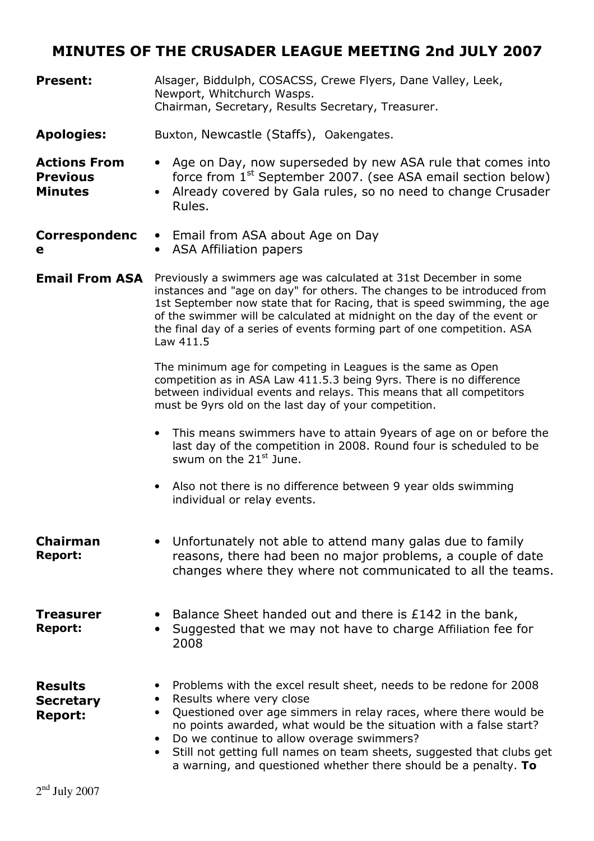# MINUTES OF THE CRUSADER LEAGUE MEETING 2nd JULY 2007

| <b>Present:</b>                                          | Alsager, Biddulph, COSACSS, Crewe Flyers, Dane Valley, Leek,<br>Newport, Whitchurch Wasps.<br>Chairman, Secretary, Results Secretary, Treasurer.                                                                                                                                                                                                                                                                                                                                     |  |  |
|----------------------------------------------------------|--------------------------------------------------------------------------------------------------------------------------------------------------------------------------------------------------------------------------------------------------------------------------------------------------------------------------------------------------------------------------------------------------------------------------------------------------------------------------------------|--|--|
| <b>Apologies:</b>                                        | Buxton, Newcastle (Staffs), Oakengates.                                                                                                                                                                                                                                                                                                                                                                                                                                              |  |  |
| <b>Actions From</b><br><b>Previous</b><br><b>Minutes</b> | Age on Day, now superseded by new ASA rule that comes into<br>$\bullet$<br>force from $1^{st}$ September 2007. (see ASA email section below)<br>Already covered by Gala rules, so no need to change Crusader<br>Rules.                                                                                                                                                                                                                                                               |  |  |
| <b>Correspondenc</b><br>е                                | • Email from ASA about Age on Day<br>• ASA Affiliation papers                                                                                                                                                                                                                                                                                                                                                                                                                        |  |  |
| <b>Email From ASA</b>                                    | Previously a swimmers age was calculated at 31st December in some<br>instances and "age on day" for others. The changes to be introduced from<br>1st September now state that for Racing, that is speed swimming, the age<br>of the swimmer will be calculated at midnight on the day of the event or<br>the final day of a series of events forming part of one competition. ASA<br>Law 411.5                                                                                       |  |  |
|                                                          | The minimum age for competing in Leagues is the same as Open<br>competition as in ASA Law 411.5.3 being 9yrs. There is no difference<br>between individual events and relays. This means that all competitors<br>must be 9yrs old on the last day of your competition.                                                                                                                                                                                                               |  |  |
|                                                          | • This means swimmers have to attain 9years of age on or before the<br>last day of the competition in 2008. Round four is scheduled to be<br>swum on the 21 <sup>st</sup> June.                                                                                                                                                                                                                                                                                                      |  |  |
|                                                          | Also not there is no difference between 9 year olds swimming<br>$\bullet$<br>individual or relay events.                                                                                                                                                                                                                                                                                                                                                                             |  |  |
| <b>Chairman</b><br><b>Report:</b>                        | • Unfortunately not able to attend many galas due to family<br>reasons, there had been no major problems, a couple of date<br>changes where they where not communicated to all the teams.                                                                                                                                                                                                                                                                                            |  |  |
| <b>Treasurer</b><br><b>Report:</b>                       | Balance Sheet handed out and there is £142 in the bank,<br>Suggested that we may not have to charge Affiliation fee for<br>2008                                                                                                                                                                                                                                                                                                                                                      |  |  |
| <b>Results</b><br><b>Secretary</b><br><b>Report:</b>     | Problems with the excel result sheet, needs to be redone for 2008<br>Results where very close<br>$\bullet$<br>Questioned over age simmers in relay races, where there would be<br>$\bullet$<br>no points awarded, what would be the situation with a false start?<br>Do we continue to allow overage swimmers?<br>$\bullet$<br>Still not getting full names on team sheets, suggested that clubs get<br>$\bullet$<br>a warning, and questioned whether there should be a penalty. To |  |  |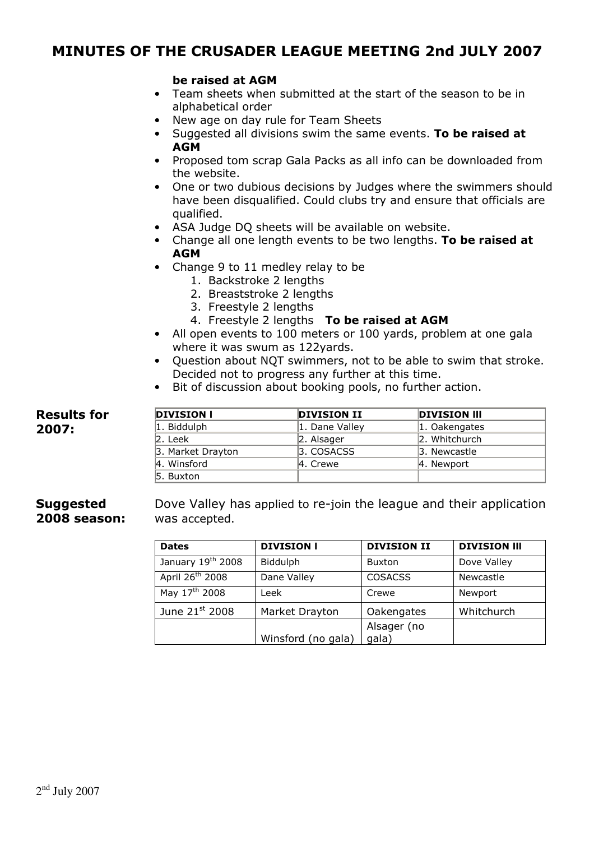### MINUTES OF THE CRUSADER LEAGUE MEETING 2nd JULY 2007

### be raised at AGM

- Team sheets when submitted at the start of the season to be in alphabetical order
- New age on day rule for Team Sheets
- Suggested all divisions swim the same events. To be raised at **AGM**
- Proposed tom scrap Gala Packs as all info can be downloaded from the website.
- One or two dubious decisions by Judges where the swimmers should have been disqualified. Could clubs try and ensure that officials are qualified.
- ASA Judge DQ sheets will be available on website.
- Change all one length events to be two lengths. To be raised at **AGM**
- Change 9 to 11 medley relay to be
	- 1. Backstroke 2 lengths
	- 2. Breaststroke 2 lengths
	- 3. Freestyle 2 lengths
	- 4. Freestyle 2 lengths To be raised at AGM
- All open events to 100 meters or 100 yards, problem at one gala where it was swum as 122yards.
- Question about NQT swimmers, not to be able to swim that stroke. Decided not to progress any further at this time.
- Bit of discussion about booking pools, no further action.

#### Results for 2007: DIVISION I DIVISION II DIVISION II 1. Biddulph 1. Dane Valley 1. Oakengates 2. Leek 2. Alsager 2. Whitchurch 3. Market Drayton **3. COSACSS** 3. Newcastle 4. Winsford 4. Crewe 4. Newport 5. Buxton

#### **Suggested** 2008 season: Dove Valley has applied to re-join the league and their application was accepted.

| <b>Dates</b>                | <b>DIVISION I</b>  | <b>DIVISION II</b>   | <b>DIVISION III</b> |
|-----------------------------|--------------------|----------------------|---------------------|
| January $19^{th}$ 2008      | Biddulph           | <b>Buxton</b>        | Dove Valley         |
| April 26 <sup>th</sup> 2008 | Dane Valley        | <b>COSACSS</b>       | Newcastle           |
| May 17 <sup>th</sup> 2008   | Leek               | Crewe                | Newport             |
| June 21st 2008              | Market Drayton     | Oakengates           | Whitchurch          |
|                             | Winsford (no gala) | Alsager (no<br>gala) |                     |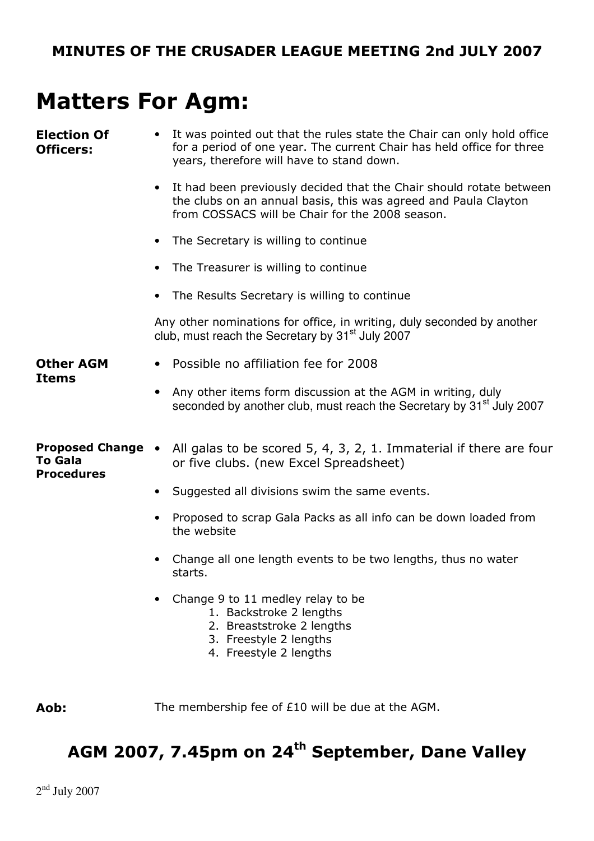# Matters For Agm:

| <b>Election Of</b><br><b>Officers:</b> | • It was pointed out that the rules state the Chair can only hold office<br>for a period of one year. The current Chair has held office for three<br>years, therefore will have to stand down. |  |  |  |
|----------------------------------------|------------------------------------------------------------------------------------------------------------------------------------------------------------------------------------------------|--|--|--|
|                                        | It had been previously decided that the Chair should rotate between<br>the clubs on an annual basis, this was agreed and Paula Clayton<br>from COSSACS will be Chair for the 2008 season.      |  |  |  |
|                                        | • The Secretary is willing to continue                                                                                                                                                         |  |  |  |
|                                        | The Treasurer is willing to continue<br>$\bullet$                                                                                                                                              |  |  |  |
|                                        | The Results Secretary is willing to continue                                                                                                                                                   |  |  |  |
|                                        | Any other nominations for office, in writing, duly seconded by another<br>club, must reach the Secretary by 31 <sup>st</sup> July 2007                                                         |  |  |  |
| <b>Other AGM</b><br>Items              | • Possible no affiliation fee for 2008                                                                                                                                                         |  |  |  |
|                                        | Any other items form discussion at the AGM in writing, duly<br>$\bullet$<br>seconded by another club, must reach the Secretary by 31 <sup>st</sup> July 2007                                   |  |  |  |
| To Gala<br><b>Procedures</b>           | <b>Proposed Change</b> • All galas to be scored 5, 4, 3, 2, 1. Immaterial if there are four<br>or five clubs. (new Excel Spreadsheet)                                                          |  |  |  |
|                                        | • Suggested all divisions swim the same events.                                                                                                                                                |  |  |  |
|                                        | Proposed to scrap Gala Packs as all info can be down loaded from<br>the website                                                                                                                |  |  |  |
|                                        | Change all one length events to be two lengths, thus no water<br>starts.                                                                                                                       |  |  |  |
|                                        | Change 9 to 11 medley relay to be<br>1. Backstroke 2 lengths<br>2. Breaststroke 2 lengths<br>3. Freestyle 2 lengths<br>4. Freestyle 2 lengths                                                  |  |  |  |

Aob: The membership fee of £10 will be due at the AGM.

# AGM 2007, 7.45pm on 24<sup>th</sup> September, Dane Valley

 $2<sup>nd</sup>$  July 2007